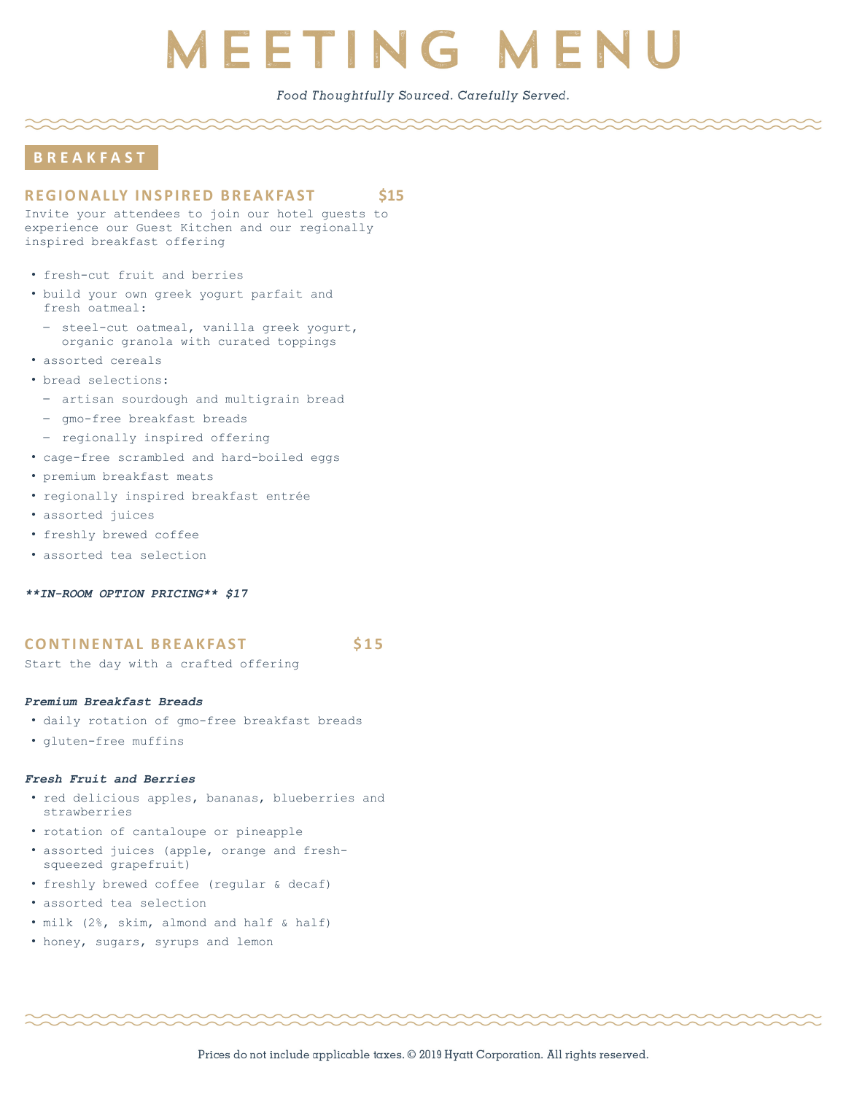## Food Thoughtfully Sourced. Carefully Served.

## **B R E A K F A S T**

## **REGIONALLY INSPIRED BREAKFAST \$15**

Invite your attendees to join our hotel guests to experience our Guest Kitchen and our regionally inspired breakfast offering

- fresh-cut fruit and berries
- build your own greek yogurt parfait and fresh oatmeal:
	- steel-cut oatmeal, vanilla greek yogurt, organic granola with curated toppings
- assorted cereals
- bread selections:
	- artisan sourdough and multigrain bread
	- gmo-free breakfast breads
	- regionally inspired offering
- cage-free scrambled and hard-boiled eggs
- premium breakfast meats
- regionally inspired breakfast entrée
- assorted juices
- freshly brewed coffee
- assorted tea selection

*\*\*IN-ROOM OPTION PRICING\*\* \$17*

### **CONTINENTAL BREAKFAST** \$15

Start the day with a crafted offering

#### *Premium Breakfast Breads*

- daily rotation of gmo-free breakfast breads
- gluten-free muffins

#### *Fresh Fruit and Berries*

- red delicious apples, bananas, blueberries and strawberries
- rotation of cantaloupe or pineapple
- assorted juices (apple, orange and freshsqueezed grapefruit)
- freshly brewed coffee (regular & decaf)
- assorted tea selection
- milk (2%, skim, almond and half & half)
- honey, sugars, syrups and lemon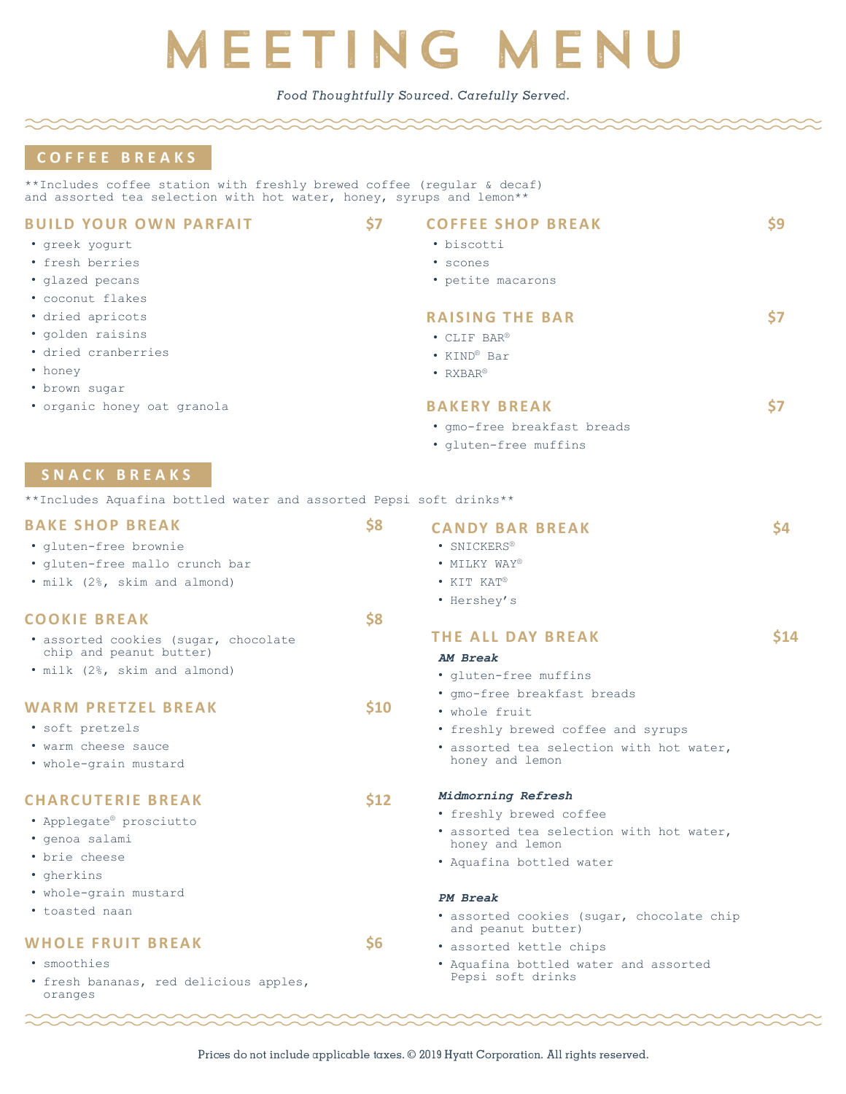Food Thoughtfully Sourced. Carefully Served.

## **C O F F E E B R E A K S**

• greek yogurt • fresh berries • glazed pecans • coconut flakes • dried apricots • golden raisins • dried cranberries

• honey

• brown sugar

\*\*Includes coffee station with freshly brewed coffee (regular & decaf) and assorted tea selection with hot water, honey, syrups and lemon\*\*

## **BUILD YOUR OWN PARFAIT 57**

- **COFFEE SHOP BREAK** \$9
- biscotti
- scones • petite macarons
- 
- **RAISING THE BAR** 57
- CLIF BAR®
- KIND® Bar
- RXBAR®

## **BAKERY BREAK** \$7

- gmo-free breakfast breads
- gluten-free muffins

## **S N A C K B R E A K S**

• organic honey oat granola

\*\*Includes Aquafina bottled water and assorted Pepsi soft drinks\*\*

| <b>BAKE SHOP BREAK</b><br>· gluten-free brownie<br>· gluten-free mallo crunch bar<br>. milk (2%, skim and almond)      | \$8           | <b>CANDY BAR BREAK</b><br>· SNICKERS®<br>• MILKY WAY®<br>$\bullet$ KIT KAT®<br>• Hershey's                                                        | \$4  |
|------------------------------------------------------------------------------------------------------------------------|---------------|---------------------------------------------------------------------------------------------------------------------------------------------------|------|
| <b>COOKIE BREAK</b><br>• assorted cookies (sugar, chocolate<br>chip and peanut butter)<br>• milk (2%, skim and almond) | \$8           | <b>THE ALL DAY BREAK</b><br>AM Break<br>· gluten-free muffins                                                                                     | \$14 |
| <b>WARM PRETZEL BREAK</b><br>• soft pretzels<br>• warm cheese sauce<br>• whole-grain mustard                           | \$10          | · qmo-free breakfast breads<br>• whole fruit<br>• freshly brewed coffee and syrups<br>· assorted tea selection with hot water,<br>honey and lemon |      |
| <b>CHARCUTERIE BREAK</b><br>• Applegate® prosciutto<br>· genoa salami<br>• brie cheese<br>• gherkins                   | \$12          | Midmorning Refresh<br>• freshly brewed coffee<br>• assorted tea selection with hot water,<br>honey and lemon<br>• Aquafina bottled water          |      |
| • whole-grain mustard<br>• toasted naan                                                                                |               | PM Break<br>· assorted cookies (sugar, chocolate chip<br>and peanut butter)                                                                       |      |
| <b>WHOLE FRUIT BREAK</b><br>· smoothies<br>• fresh bananas, red delicious apples,<br>oranges                           | $\mathsf{S6}$ | • assorted kettle chips<br>• Aquafina bottled water and assorted<br>Pepsi soft drinks                                                             |      |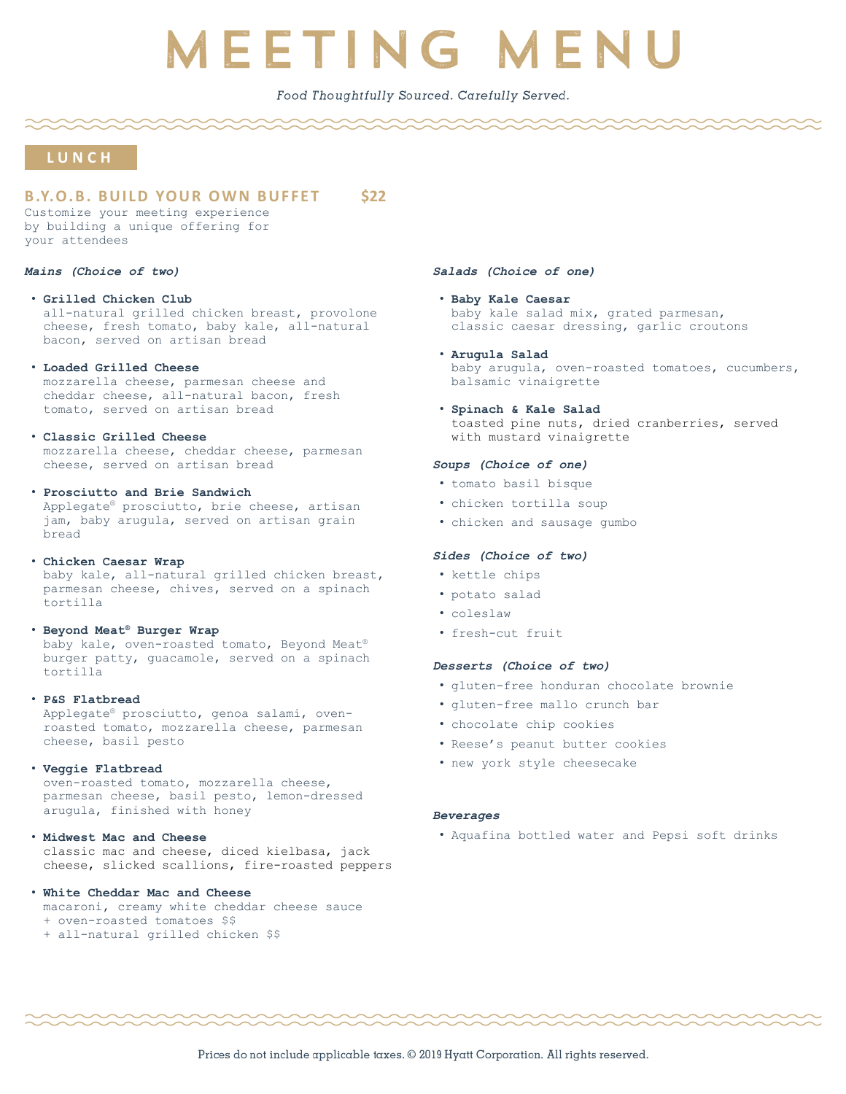## Food Thoughtfully Sourced. Carefully Served.

## **L U N C H**

## **B .Y.O . B . B U I L D YO U R O W N B U F F E T \$22**

Customize your meeting experience by building a unique offering for your attendees

#### *Mains (Choice of two)*

#### • **Grilled Chicken Club**

all-natural grilled chicken breast, provolone cheese, fresh tomato, baby kale, all-natural bacon, served on artisan bread

#### • **Loaded Grilled Cheese**

mozzarella cheese, parmesan cheese and cheddar cheese, all-natural bacon, fresh tomato, served on artisan bread

#### • **Classic Grilled Cheese**

mozzarella cheese, cheddar cheese, parmesan cheese, served on artisan bread

#### • **Prosciutto and Brie Sandwich**

Applegate® prosciutto, brie cheese, artisan jam, baby arugula, served on artisan grain bread

#### • **Chicken Caesar Wrap**

baby kale, all-natural grilled chicken breast, parmesan cheese, chives, served on a spinach tortilla

#### • **Beyond Meat® Burger Wrap**

baby kale, oven-roasted tomato, Beyond Meat® burger patty, guacamole, served on a spinach tortilla

#### • **P&S Flatbread**

Applegate® prosciutto, genoa salami, ovenroasted tomato, mozzarella cheese, parmesan cheese, basil pesto

#### • **Veggie Flatbread**

oven-roasted tomato, mozzarella cheese, parmesan cheese, basil pesto, lemon-dressed arugula, finished with honey

#### • **Midwest Mac and Cheese**

classic mac and cheese, diced kielbasa, jack cheese, slicked scallions, fire-roasted peppers

#### • **White Cheddar Mac and Cheese**

- macaroni, creamy white cheddar cheese sauce
- + oven-roasted tomatoes \$\$
- + all-natural grilled chicken \$\$

### *Salads (Choice of one)*

- **Baby Kale Caesar**  baby kale salad mix, grated parmesan, classic caesar dressing, garlic croutons
- **Arugula Salad** baby arugula, oven-roasted tomatoes, cucumbers, balsamic vinaigrette
- **Spinach & Kale Salad** toasted pine nuts, dried cranberries, served with mustard vinaigrette

### *Soups (Choice of one)*

- tomato basil bisque
- chicken tortilla soup
- chicken and sausage gumbo

## *Sides (Choice of two)*

- kettle chips
- potato salad
- coleslaw
- fresh-cut fruit

## *Desserts (Choice of two)*

- gluten-free honduran chocolate brownie
- gluten-free mallo crunch bar
- chocolate chip cookies
- Reese's peanut butter cookies
- new york style cheesecake

### *Beverages*

• Aquafina bottled water and Pepsi soft drinks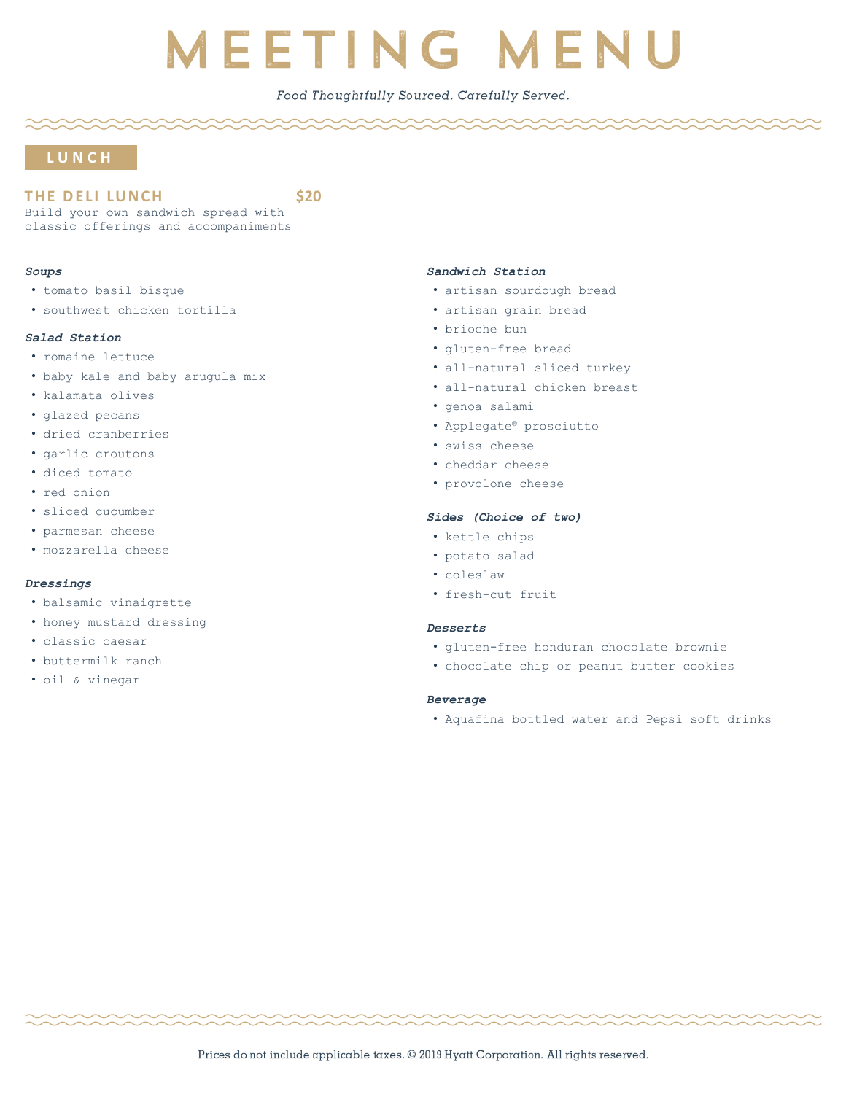## Food Thoughtfully Sourced. Carefully Served.

## **L U N C H**

THE DELI LUNCH<sub>320</sub>

Build your own sandwich spread with classic offerings and accompaniments

#### *Soups*

- tomato basil bisque
- southwest chicken tortilla

### *Salad Station*

- romaine lettuce
- baby kale and baby arugula mix
- kalamata olives
- glazed pecans
- dried cranberries
- garlic croutons
- diced tomato
- red onion
- sliced cucumber
- parmesan cheese
- mozzarella cheese

#### *Dressings*

- balsamic vinaigrette
- honey mustard dressing
- classic caesar
- buttermilk ranch
- oil & vinegar

#### *Sandwich Station*

- artisan sourdough bread
- artisan grain bread
- brioche bun
- gluten-free bread
- all-natural sliced turkey
- all-natural chicken breast
- genoa salami
- Applegate® prosciutto
- swiss cheese
- cheddar cheese
- provolone cheese

#### *Sides (Choice of two)*

- kettle chips
- potato salad
- coleslaw
- fresh-cut fruit

#### *Desserts*

- gluten-free honduran chocolate brownie
- chocolate chip or peanut butter cookies

#### *Beverage*

• Aquafina bottled water and Pepsi soft drinks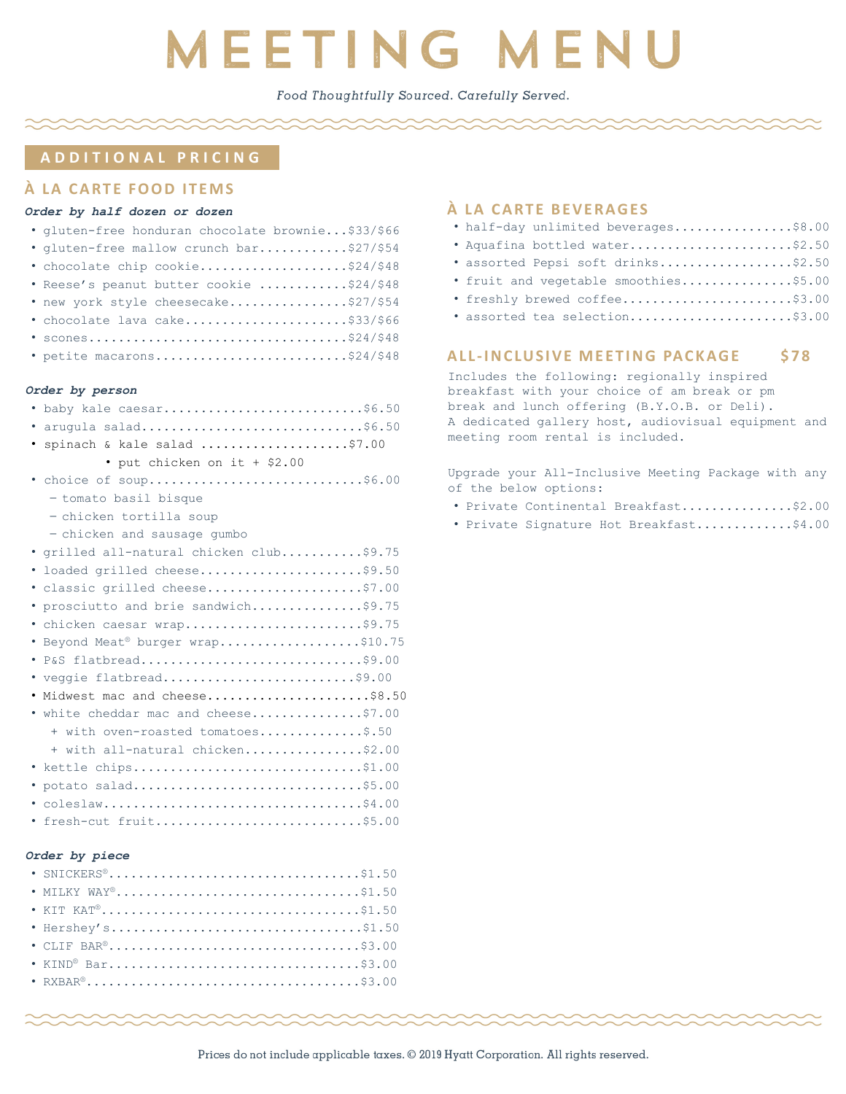Food Thoughtfully Sourced. Carefully Served.

## **A D D I T I O N A L P R I C I N G**

## **À L A C A RT E FO O D I T E M S**

### *Order by half dozen or dozen*

| · gluten-free honduran chocolate brownie\$33/\$66 |
|---------------------------------------------------|
| · gluten-free mallow crunch bar\$27/\$54          |
| · chocolate chip cookie\$24/\$48                  |
| . Reese's peanut butter cookie \$24/\$48          |
| . new york style cheesecake\$27/\$54              |
| · chocolate lava cake\$33/\$66                    |
|                                                   |

· petite macarons............................\$24/\$48

#### *Order by person*

| . baby kale caesar\$6.50                 |
|------------------------------------------|
| · arugula salad\$6.50                    |
| · spinach & kale salad \$7.00            |
| • put chicken on it + \$2.00             |
| . choice of soup\$6.00                   |
| - tomato basil bisque                    |
| - chicken tortilla soup                  |
| - chicken and sausage qumbo              |
| · grilled all-natural chicken club\$9.75 |
| · loaded grilled cheese\$9.50            |
| · classic grilled cheese\$7.00           |
| · prosciutto and brie sandwich\$9.75     |
| · chicken caesar wrap\$9.75              |
| . Beyond Meat® burger wrap\$10.75        |
| · P&S flatbread\$9.00                    |
| · veggie flatbread\$9.00                 |
| . Midwest mac and cheese\$8.50           |
| . white cheddar mac and cheese\$7.00     |
| + with oven-roasted tomatoes\$.50        |
| + with all-natural chicken\$2.00         |
| * kettle chips\$1.00                     |
| · potato salad\$5.00                     |
|                                          |
| fresh-cut fruit\$5.00                    |
|                                          |

#### *Order by piece*

| • MILKY WAY®\$1.50            |  |
|-------------------------------|--|
| • KIT KAT <sup>®</sup> \$1.50 |  |
| · Hershey's\$1.50             |  |
|                               |  |
| • KIND <sup>®</sup> Bar\$3.00 |  |
|                               |  |

## **À** LA CARTE BEVERAGES

|  |  |  | . half-day unlimited beverages\$8.00 |  |
|--|--|--|--------------------------------------|--|
|--|--|--|--------------------------------------|--|

- Aquafina bottled water........................\$2.50
- assorted Pepsi soft drinks...................\$2.50
- fruit and vegetable smoothies...............\$5.00
- freshly brewed coffee.........................\$3.00 • assorted tea selection........................\$3.00

## **ALL-INCLUSIVE MEETING PACKAGE \$78**

Includes the following: regionally inspired breakfast with your choice of am break or pm break and lunch offering (B.Y.O.B. or Deli). A dedicated gallery host, audiovisual equipment and meeting room rental is included.

Upgrade your All-Inclusive Meeting Package with any of the below options:

- Private Continental Breakfast...............\$2.00
- Private Signature Hot Breakfast.............\$4.00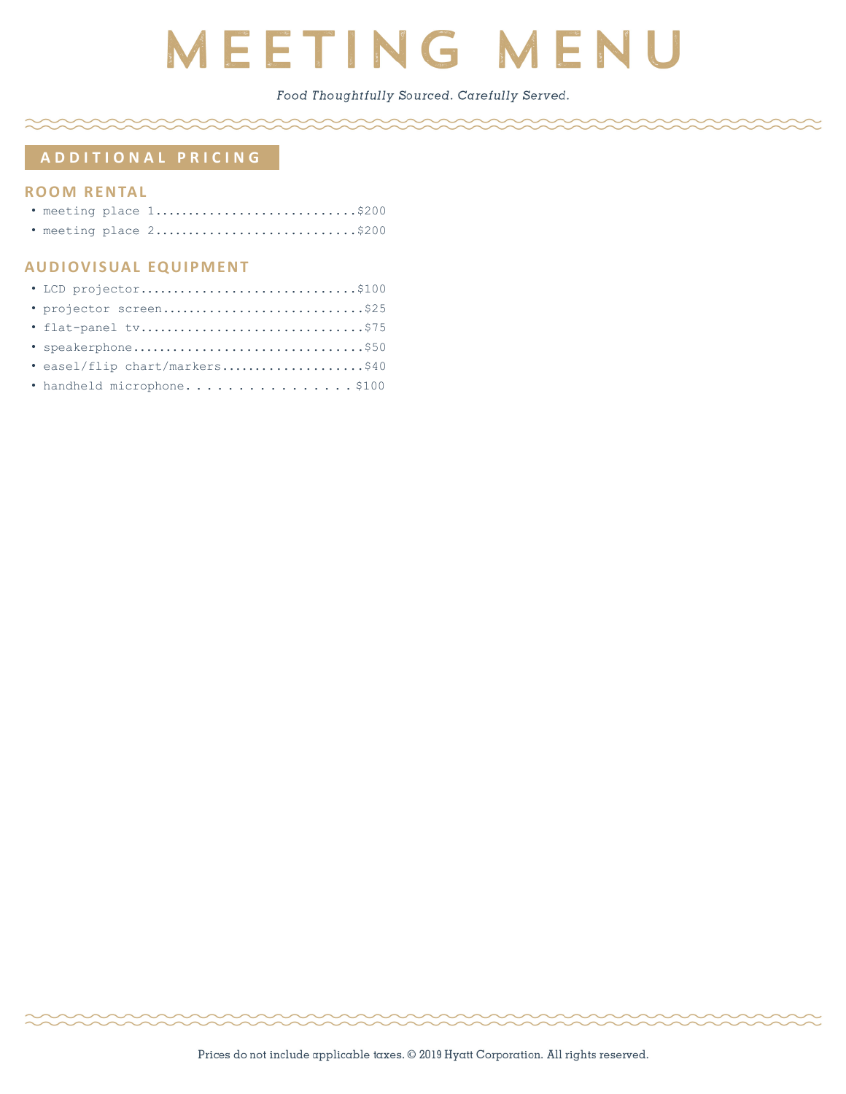Food Thoughtfully Sourced. Carefully Served.

## **A D D I T I O N A L P R I C I N G**

## **ROOM RENTAL**

|  | . meeting place 1\$200 |  |
|--|------------------------|--|
|  | . meeting place 2\$200 |  |

## **AUDIOVISUAL EQUIPMENT**

| · LCD projector\$100           |
|--------------------------------|
| · projector screen\$25         |
| · flat-panel tv\$75            |
| • speakerphone\$50             |
| · easel/flip chart/markers\$40 |
| · handheld microphone\$100     |
|                                |